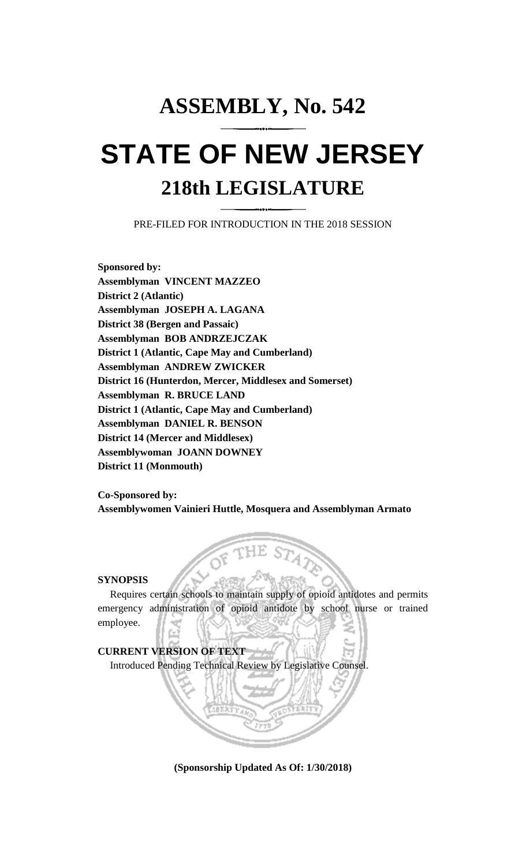## **ASSEMBLY, No. 542 STATE OF NEW JERSEY 218th LEGISLATURE**

PRE-FILED FOR INTRODUCTION IN THE 2018 SESSION

**Sponsored by: Assemblyman VINCENT MAZZEO District 2 (Atlantic) Assemblyman JOSEPH A. LAGANA District 38 (Bergen and Passaic) Assemblyman BOB ANDRZEJCZAK District 1 (Atlantic, Cape May and Cumberland) Assemblyman ANDREW ZWICKER District 16 (Hunterdon, Mercer, Middlesex and Somerset) Assemblyman R. BRUCE LAND District 1 (Atlantic, Cape May and Cumberland) Assemblyman DANIEL R. BENSON District 14 (Mercer and Middlesex) Assemblywoman JOANN DOWNEY District 11 (Monmouth)**

**Co-Sponsored by: Assemblywomen Vainieri Huttle, Mosquera and Assemblyman Armato**

## **SYNOPSIS**

Requires certain schools to maintain supply of opioid antidotes and permits emergency administration of opioid antidote by school nurse or trained employee.

**CURRENT VERSION OF TEXT**  Introduced Pending Technical Review by Legislative Counsel.

**(Sponsorship Updated As Of: 1/30/2018)**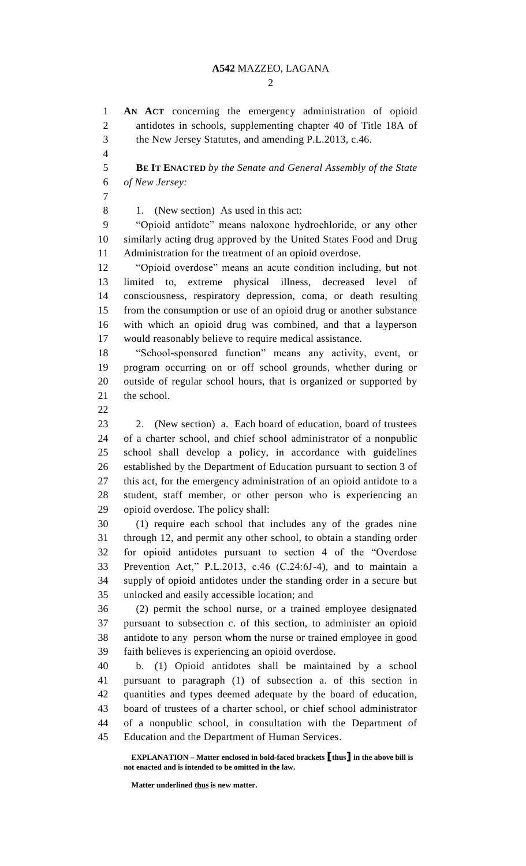$\mathcal{D}_{\mathcal{L}}$ 

 **AN ACT** concerning the emergency administration of opioid antidotes in schools, supplementing chapter 40 of Title 18A of the New Jersey Statutes, and amending P.L.2013, c.46.

 **BE IT ENACTED** *by the Senate and General Assembly of the State of New Jersey:*

1. (New section) As used in this act:

 "Opioid antidote" means naloxone hydrochloride, or any other similarly acting drug approved by the United States Food and Drug Administration for the treatment of an opioid overdose.

 "Opioid overdose" means an acute condition including, but not limited to, extreme physical illness, decreased level of consciousness, respiratory depression, coma, or death resulting from the consumption or use of an opioid drug or another substance with which an opioid drug was combined, and that a layperson would reasonably believe to require medical assistance.

 "School-sponsored function" means any activity, event, or program occurring on or off school grounds, whether during or outside of regular school hours, that is organized or supported by 21 the school.

 2. (New section) a. Each board of education, board of trustees of a charter school, and chief school administrator of a nonpublic school shall develop a policy, in accordance with guidelines established by the Department of Education pursuant to section 3 of this act, for the emergency administration of an opioid antidote to a student, staff member, or other person who is experiencing an opioid overdose. The policy shall:

 (1) require each school that includes any of the grades nine through 12, and permit any other school, to obtain a standing order for opioid antidotes pursuant to section 4 of the "Overdose Prevention Act," P.L.2013, c.46 (C.24:6J-4), and to maintain a supply of opioid antidotes under the standing order in a secure but unlocked and easily accessible location; and

 (2) permit the school nurse, or a trained employee designated pursuant to subsection c. of this section, to administer an opioid antidote to any person whom the nurse or trained employee in good faith believes is experiencing an opioid overdose.

 b. (1) Opioid antidotes shall be maintained by a school pursuant to paragraph (1) of subsection a. of this section in quantities and types deemed adequate by the board of education, board of trustees of a charter school, or chief school administrator of a nonpublic school, in consultation with the Department of Education and the Department of Human Services.

**EXPLANATION – Matter enclosed in bold-faced brackets [thus] in the above bill is not enacted and is intended to be omitted in the law.**

**Matter underlined thus is new matter.**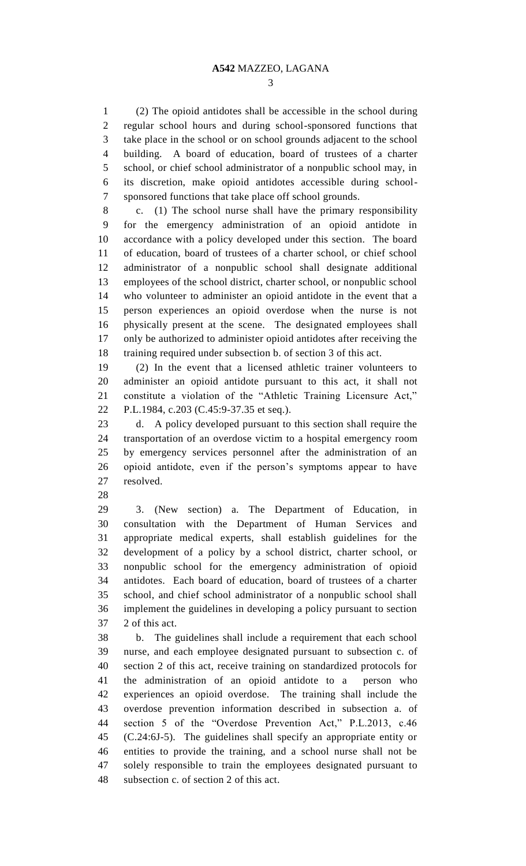(2) The opioid antidotes shall be accessible in the school during regular school hours and during school-sponsored functions that take place in the school or on school grounds adjacent to the school building. A board of education, board of trustees of a charter school, or chief school administrator of a nonpublic school may, in its discretion, make opioid antidotes accessible during school-sponsored functions that take place off school grounds.

 c. (1) The school nurse shall have the primary responsibility for the emergency administration of an opioid antidote in accordance with a policy developed under this section. The board of education, board of trustees of a charter school, or chief school administrator of a nonpublic school shall designate additional employees of the school district, charter school, or nonpublic school who volunteer to administer an opioid antidote in the event that a person experiences an opioid overdose when the nurse is not physically present at the scene. The designated employees shall only be authorized to administer opioid antidotes after receiving the training required under subsection b. of section 3 of this act.

 (2) In the event that a licensed athletic trainer volunteers to administer an opioid antidote pursuant to this act, it shall not constitute a violation of the "Athletic Training Licensure Act," P.L.1984, c.203 (C.45:9-37.35 et seq.).

 d. A policy developed pursuant to this section shall require the transportation of an overdose victim to a hospital emergency room by emergency services personnel after the administration of an opioid antidote, even if the person's symptoms appear to have resolved.

 3. (New section) a. The Department of Education, in consultation with the Department of Human Services and appropriate medical experts, shall establish guidelines for the development of a policy by a school district, charter school, or nonpublic school for the emergency administration of opioid antidotes. Each board of education, board of trustees of a charter school, and chief school administrator of a nonpublic school shall implement the guidelines in developing a policy pursuant to section 2 of this act.

 b. The guidelines shall include a requirement that each school nurse, and each employee designated pursuant to subsection c. of section 2 of this act, receive training on standardized protocols for the administration of an opioid antidote to a person who experiences an opioid overdose. The training shall include the overdose prevention information described in subsection a. of section 5 of the "Overdose Prevention Act," P.L.2013, c.46 (C.24:6J-5). The guidelines shall specify an appropriate entity or entities to provide the training, and a school nurse shall not be solely responsible to train the employees designated pursuant to subsection c. of section 2 of this act.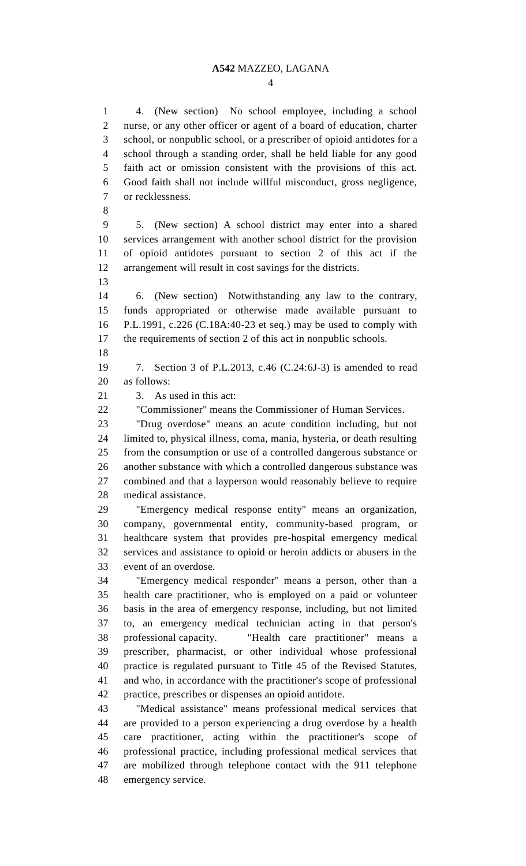4. (New section) No school employee, including a school nurse, or any other officer or agent of a board of education, charter school, or nonpublic school, or a prescriber of opioid antidotes for a school through a standing order, shall be held liable for any good faith act or omission consistent with the provisions of this act. Good faith shall not include willful misconduct, gross negligence, or recklessness. 5. (New section) A school district may enter into a shared services arrangement with another school district for the provision of opioid antidotes pursuant to section 2 of this act if the arrangement will result in cost savings for the districts. 6. (New section) Notwithstanding any law to the contrary, funds appropriated or otherwise made available pursuant to P.L.1991, c.226 (C.18A:40-23 et seq.) may be used to comply with the requirements of section 2 of this act in nonpublic schools. 7. Section 3 of P.L.2013, c.46 (C.24:6J-3) is amended to read as follows: 3. As used in this act: "Commissioner" means the Commissioner of Human Services. "Drug overdose" means an acute condition including, but not limited to, physical illness, coma, mania, hysteria, or death resulting from the consumption or use of a controlled dangerous substance or another substance with which a controlled dangerous substance was combined and that a layperson would reasonably believe to require medical assistance. "Emergency medical response entity" means an organization, company, governmental entity, community-based program, or healthcare system that provides pre-hospital emergency medical services and assistance to opioid or heroin addicts or abusers in the event of an overdose. "Emergency medical responder" means a person, other than a health care practitioner, who is employed on a paid or volunteer basis in the area of emergency response, including, but not limited to, an emergency medical technician acting in that person's professional capacity. "Health care practitioner" means a prescriber, pharmacist, or other individual whose professional practice is regulated pursuant to Title 45 of the Revised Statutes, and who, in accordance with the practitioner's scope of professional practice, prescribes or dispenses an opioid antidote. "Medical assistance" means professional medical services that are provided to a person experiencing a drug overdose by a health care practitioner, acting within the practitioner's scope of professional practice, including professional medical services that are mobilized through telephone contact with the 911 telephone emergency service.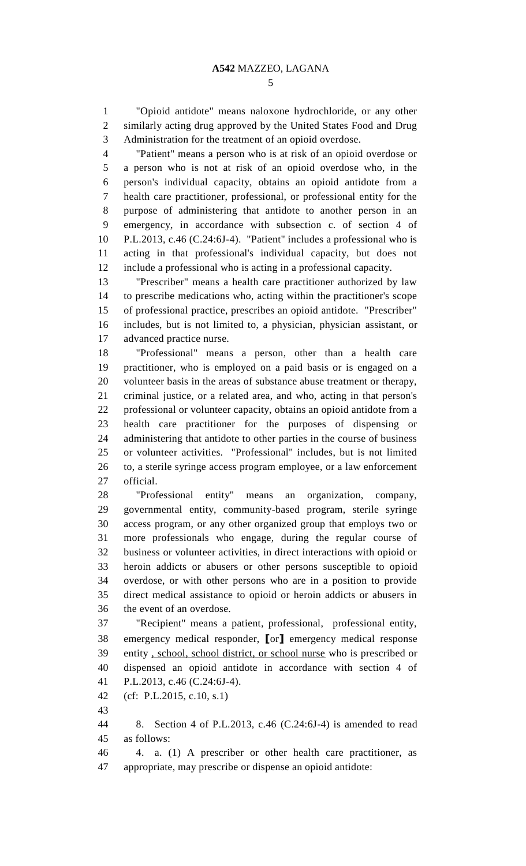"Opioid antidote" means naloxone hydrochloride, or any other similarly acting drug approved by the United States Food and Drug Administration for the treatment of an opioid overdose.

 "Patient" means a person who is at risk of an opioid overdose or a person who is not at risk of an opioid overdose who, in the person's individual capacity, obtains an opioid antidote from a health care practitioner, professional, or professional entity for the purpose of administering that antidote to another person in an emergency, in accordance with subsection c. of section 4 of P.L.2013, c.46 (C.24:6J-4). "Patient" includes a professional who is acting in that professional's individual capacity, but does not include a professional who is acting in a professional capacity.

 "Prescriber" means a health care practitioner authorized by law to prescribe medications who, acting within the practitioner's scope of professional practice, prescribes an opioid antidote. "Prescriber" includes, but is not limited to, a physician, physician assistant, or advanced practice nurse.

 "Professional" means a person, other than a health care practitioner, who is employed on a paid basis or is engaged on a volunteer basis in the areas of substance abuse treatment or therapy, criminal justice, or a related area, and who, acting in that person's professional or volunteer capacity, obtains an opioid antidote from a health care practitioner for the purposes of dispensing or administering that antidote to other parties in the course of business or volunteer activities. "Professional" includes, but is not limited to, a sterile syringe access program employee, or a law enforcement official.

 "Professional entity" means an organization, company, governmental entity, community-based program, sterile syringe access program, or any other organized group that employs two or more professionals who engage, during the regular course of business or volunteer activities, in direct interactions with opioid or heroin addicts or abusers or other persons susceptible to opioid overdose, or with other persons who are in a position to provide direct medical assistance to opioid or heroin addicts or abusers in the event of an overdose.

 "Recipient" means a patient, professional, professional entity, emergency medical responder, **[**or**]** emergency medical response entity , school, school district, or school nurse who is prescribed or dispensed an opioid antidote in accordance with section 4 of P.L.2013, c.46 (C.24:6J-4).

(cf: P.L.2015, c.10, s.1)

 8. Section 4 of P.L.2013, c.46 (C.24:6J-4) is amended to read as follows:

 4. a. (1) A prescriber or other health care practitioner, as appropriate, may prescribe or dispense an opioid antidote: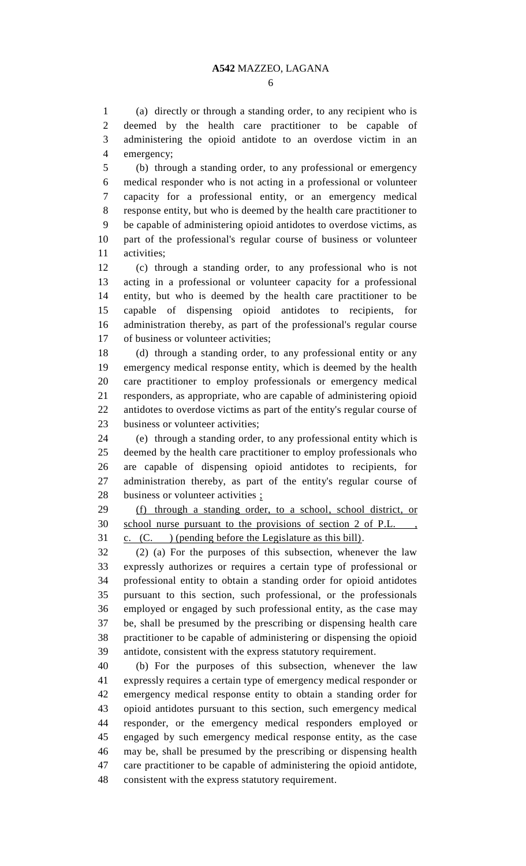(a) directly or through a standing order, to any recipient who is deemed by the health care practitioner to be capable of administering the opioid antidote to an overdose victim in an emergency;

 (b) through a standing order, to any professional or emergency medical responder who is not acting in a professional or volunteer capacity for a professional entity, or an emergency medical response entity, but who is deemed by the health care practitioner to be capable of administering opioid antidotes to overdose victims, as part of the professional's regular course of business or volunteer activities;

 (c) through a standing order, to any professional who is not acting in a professional or volunteer capacity for a professional entity, but who is deemed by the health care practitioner to be capable of dispensing opioid antidotes to recipients, for administration thereby, as part of the professional's regular course of business or volunteer activities;

 (d) through a standing order, to any professional entity or any emergency medical response entity, which is deemed by the health care practitioner to employ professionals or emergency medical responders, as appropriate, who are capable of administering opioid antidotes to overdose victims as part of the entity's regular course of business or volunteer activities;

 (e) through a standing order, to any professional entity which is deemed by the health care practitioner to employ professionals who are capable of dispensing opioid antidotes to recipients, for administration thereby, as part of the entity's regular course of 28 business or volunteer activities ;

 (f) through a standing order, to a school, school district, or school nurse pursuant to the provisions of section 2 of P.L. , c. (C. ) (pending before the Legislature as this bill).

 (2) (a) For the purposes of this subsection, whenever the law expressly authorizes or requires a certain type of professional or professional entity to obtain a standing order for opioid antidotes pursuant to this section, such professional, or the professionals employed or engaged by such professional entity, as the case may be, shall be presumed by the prescribing or dispensing health care practitioner to be capable of administering or dispensing the opioid antidote, consistent with the express statutory requirement.

 (b) For the purposes of this subsection, whenever the law expressly requires a certain type of emergency medical responder or emergency medical response entity to obtain a standing order for opioid antidotes pursuant to this section, such emergency medical responder, or the emergency medical responders employed or engaged by such emergency medical response entity, as the case may be, shall be presumed by the prescribing or dispensing health care practitioner to be capable of administering the opioid antidote, consistent with the express statutory requirement.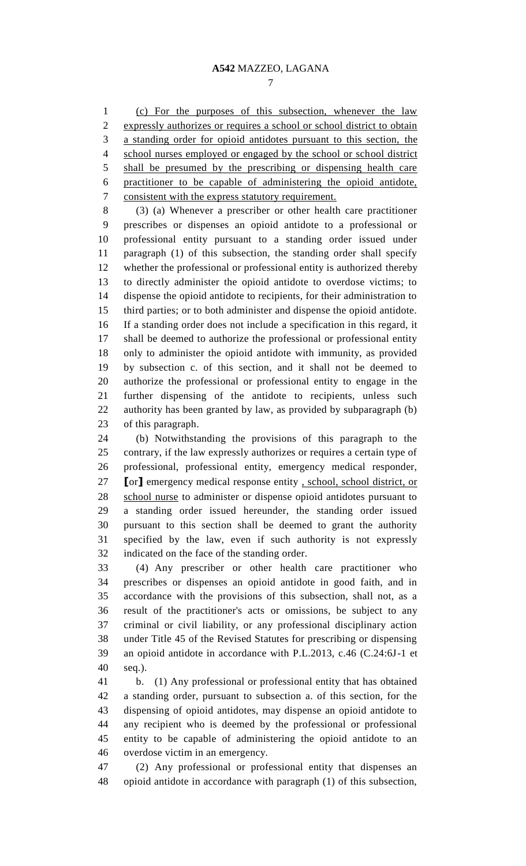(c) For the purposes of this subsection, whenever the law expressly authorizes or requires a school or school district to obtain a standing order for opioid antidotes pursuant to this section, the school nurses employed or engaged by the school or school district shall be presumed by the prescribing or dispensing health care practitioner to be capable of administering the opioid antidote, consistent with the express statutory requirement.

 (3) (a) Whenever a prescriber or other health care practitioner prescribes or dispenses an opioid antidote to a professional or professional entity pursuant to a standing order issued under paragraph (1) of this subsection, the standing order shall specify whether the professional or professional entity is authorized thereby to directly administer the opioid antidote to overdose victims; to dispense the opioid antidote to recipients, for their administration to third parties; or to both administer and dispense the opioid antidote. If a standing order does not include a specification in this regard, it shall be deemed to authorize the professional or professional entity only to administer the opioid antidote with immunity, as provided by subsection c. of this section, and it shall not be deemed to authorize the professional or professional entity to engage in the further dispensing of the antidote to recipients, unless such authority has been granted by law, as provided by subparagraph (b) of this paragraph.

 (b) Notwithstanding the provisions of this paragraph to the contrary, if the law expressly authorizes or requires a certain type of professional, professional entity, emergency medical responder, **[**or**]** emergency medical response entity , school, school district, or school nurse to administer or dispense opioid antidotes pursuant to a standing order issued hereunder, the standing order issued pursuant to this section shall be deemed to grant the authority specified by the law, even if such authority is not expressly indicated on the face of the standing order.

 (4) Any prescriber or other health care practitioner who prescribes or dispenses an opioid antidote in good faith, and in accordance with the provisions of this subsection, shall not, as a result of the practitioner's acts or omissions, be subject to any criminal or civil liability, or any professional disciplinary action under Title 45 of the Revised Statutes for prescribing or dispensing an opioid antidote in accordance with P.L.2013, c.46 (C.24:6J-1 et seq.).

 b. (1) Any professional or professional entity that has obtained a standing order, pursuant to subsection a. of this section, for the dispensing of opioid antidotes, may dispense an opioid antidote to any recipient who is deemed by the professional or professional entity to be capable of administering the opioid antidote to an overdose victim in an emergency.

 (2) Any professional or professional entity that dispenses an opioid antidote in accordance with paragraph (1) of this subsection,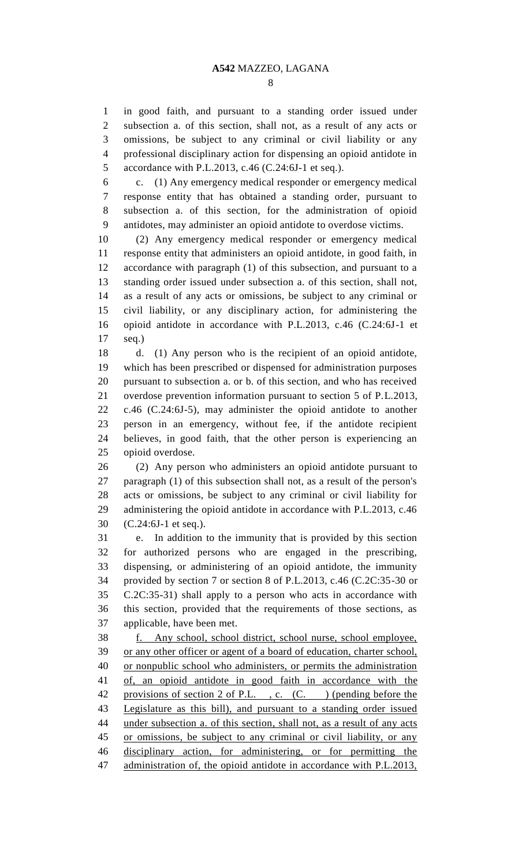in good faith, and pursuant to a standing order issued under subsection a. of this section, shall not, as a result of any acts or omissions, be subject to any criminal or civil liability or any professional disciplinary action for dispensing an opioid antidote in accordance with P.L.2013, c.46 (C.24:6J-1 et seq.).

 c. (1) Any emergency medical responder or emergency medical response entity that has obtained a standing order, pursuant to subsection a. of this section, for the administration of opioid antidotes, may administer an opioid antidote to overdose victims.

 (2) Any emergency medical responder or emergency medical response entity that administers an opioid antidote, in good faith, in accordance with paragraph (1) of this subsection, and pursuant to a standing order issued under subsection a. of this section, shall not, as a result of any acts or omissions, be subject to any criminal or civil liability, or any disciplinary action, for administering the opioid antidote in accordance with P.L.2013, c.46 (C.24:6J-1 et seq.)

 d. (1) Any person who is the recipient of an opioid antidote, which has been prescribed or dispensed for administration purposes pursuant to subsection a. or b. of this section, and who has received overdose prevention information pursuant to section 5 of P.L.2013, c.46 (C.24:6J-5), may administer the opioid antidote to another person in an emergency, without fee, if the antidote recipient believes, in good faith, that the other person is experiencing an opioid overdose.

 (2) Any person who administers an opioid antidote pursuant to paragraph (1) of this subsection shall not, as a result of the person's acts or omissions, be subject to any criminal or civil liability for administering the opioid antidote in accordance with P.L.2013, c.46 (C.24:6J-1 et seq.).

 e. In addition to the immunity that is provided by this section for authorized persons who are engaged in the prescribing, dispensing, or administering of an opioid antidote, the immunity provided by section 7 or section 8 of P.L.2013, c.46 (C.2C:35-30 or C.2C:35-31) shall apply to a person who acts in accordance with this section, provided that the requirements of those sections, as applicable, have been met.

 f. Any school, school district, school nurse, school employee, or any other officer or agent of a board of education, charter school, or nonpublic school who administers, or permits the administration of, an opioid antidote in good faith in accordance with the 42 provisions of section 2 of P.L., c. (C.) (pending before the Legislature as this bill), and pursuant to a standing order issued 44 under subsection a. of this section, shall not, as a result of any acts or omissions, be subject to any criminal or civil liability, or any disciplinary action, for administering, or for permitting the 47 administration of, the opioid antidote in accordance with P.L.2013,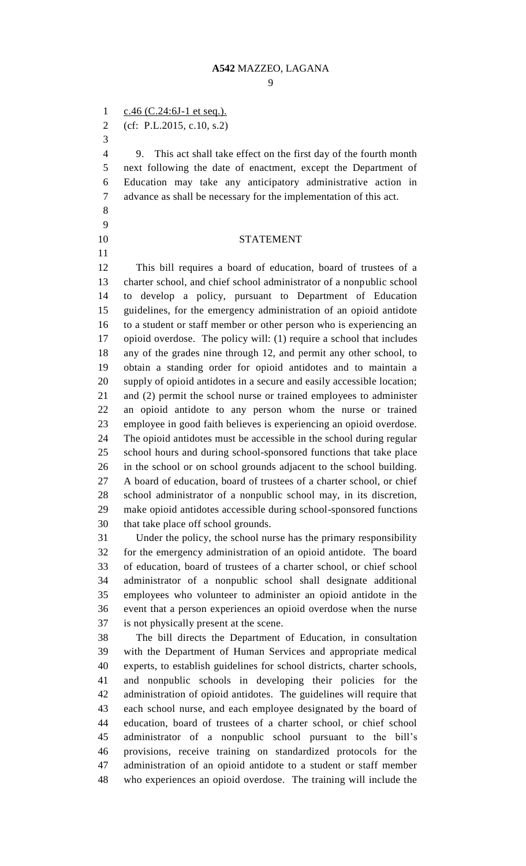1  $c.46$  (C.24:6J-1 et seq.).

(cf: P.L.2015, c.10, s.2)

 9. This act shall take effect on the first day of the fourth month next following the date of enactment, except the Department of Education may take any anticipatory administrative action in advance as shall be necessary for the implementation of this act.

 

## STATEMENT

 This bill requires a board of education, board of trustees of a charter school, and chief school administrator of a nonpublic school to develop a policy, pursuant to Department of Education guidelines, for the emergency administration of an opioid antidote to a student or staff member or other person who is experiencing an opioid overdose. The policy will: (1) require a school that includes any of the grades nine through 12, and permit any other school, to obtain a standing order for opioid antidotes and to maintain a supply of opioid antidotes in a secure and easily accessible location; and (2) permit the school nurse or trained employees to administer an opioid antidote to any person whom the nurse or trained employee in good faith believes is experiencing an opioid overdose. The opioid antidotes must be accessible in the school during regular school hours and during school-sponsored functions that take place in the school or on school grounds adjacent to the school building. A board of education, board of trustees of a charter school, or chief school administrator of a nonpublic school may, in its discretion, make opioid antidotes accessible during school-sponsored functions that take place off school grounds.

 Under the policy, the school nurse has the primary responsibility for the emergency administration of an opioid antidote. The board of education, board of trustees of a charter school, or chief school administrator of a nonpublic school shall designate additional employees who volunteer to administer an opioid antidote in the event that a person experiences an opioid overdose when the nurse is not physically present at the scene.

 The bill directs the Department of Education, in consultation with the Department of Human Services and appropriate medical experts, to establish guidelines for school districts, charter schools, and nonpublic schools in developing their policies for the administration of opioid antidotes. The guidelines will require that each school nurse, and each employee designated by the board of education, board of trustees of a charter school, or chief school administrator of a nonpublic school pursuant to the bill's provisions, receive training on standardized protocols for the administration of an opioid antidote to a student or staff member who experiences an opioid overdose. The training will include the